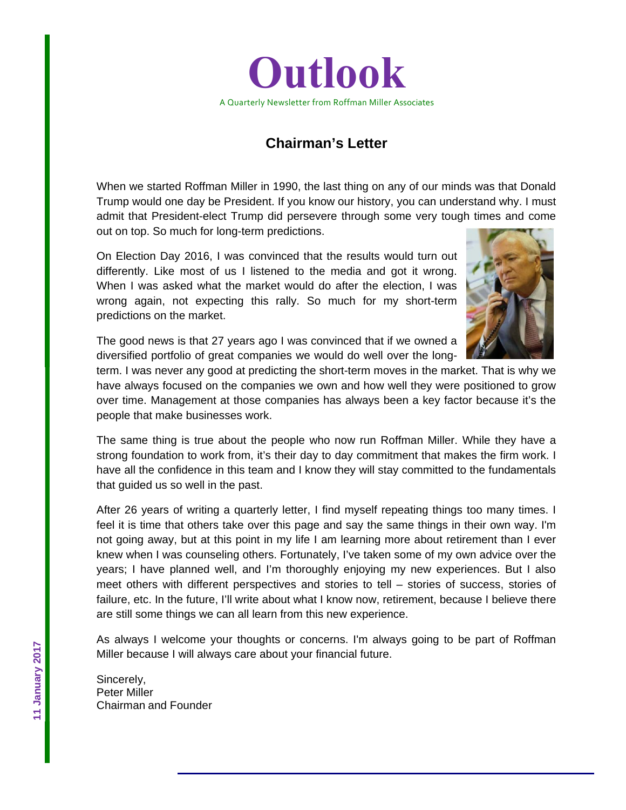

## **Chairman's Letter**

When we started Roffman Miller in 1990, the last thing on any of our minds was that Donald Trump would one day be President. If you know our history, you can understand why. I must admit that President-elect Trump did persevere through some very tough times and come out on top. So much for long-term predictions.

On Election Day 2016, I was convinced that the results would turn out differently. Like most of us I listened to the media and got it wrong. When I was asked what the market would do after the election, I was wrong again, not expecting this rally. So much for my short-term predictions on the market.



The good news is that 27 years ago I was convinced that if we owned a diversified portfolio of great companies we would do well over the long-

term. I was never any good at predicting the short-term moves in the market. That is why we have always focused on the companies we own and how well they were positioned to grow over time. Management at those companies has always been a key factor because it's the people that make businesses work.

The same thing is true about the people who now run Roffman Miller. While they have a strong foundation to work from, it's their day to day commitment that makes the firm work. I have all the confidence in this team and I know they will stay committed to the fundamentals that guided us so well in the past.

After 26 years of writing a quarterly letter, I find myself repeating things too many times. I feel it is time that others take over this page and say the same things in their own way. I'm not going away, but at this point in my life I am learning more about retirement than I ever knew when I was counseling others. Fortunately, I've taken some of my own advice over the years; I have planned well, and I'm thoroughly enjoying my new experiences. But I also meet others with different perspectives and stories to tell – stories of success, stories of failure, etc. In the future, I'll write about what I know now, retirement, because I believe there are still some things we can all learn from this new experience.

As always I welcome your thoughts or concerns. I'm always going to be part of Roffman Miller because I will always care about your financial future.

Sincerely, Peter Miller Chairman and Founder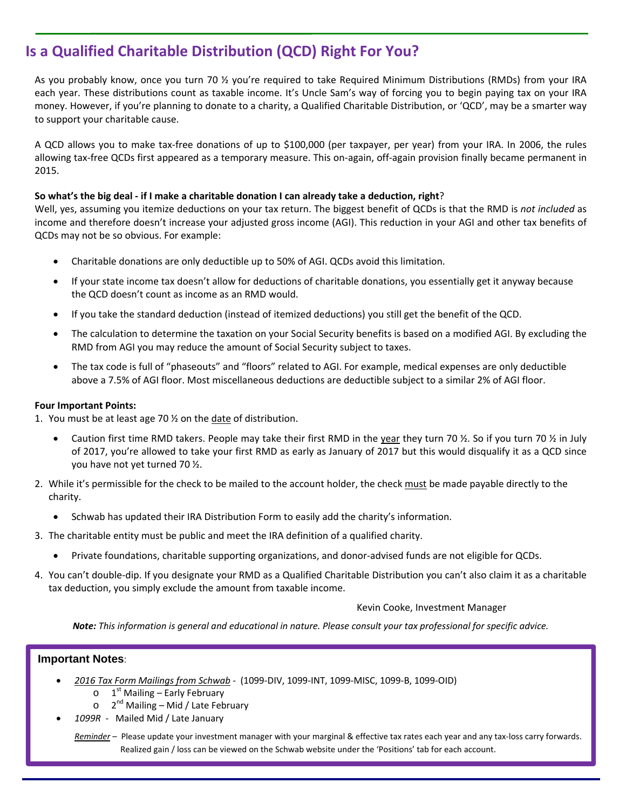# **Is a Qualified Charitable Distribution (QCD) Right For You?**

As you probably know, once you turn 70 ½ you're required to take Required Minimum Distributions (RMDs) from your IRA each year. These distributions count as taxable income. It's Uncle Sam's way of forcing you to begin paying tax on your IRA money. However, if you're planning to donate to a charity, a Qualified Charitable Distribution, or 'QCD', may be a smarter way to support your charitable cause.

A QCD allows you to make tax‐free donations of up to \$100,000 (per taxpayer, per year) from your IRA. In 2006, the rules allowing tax‐free QCDs first appeared as a temporary measure. This on‐again, off‐again provision finally became permanent in 2015.

#### So what's the big deal - if I make a charitable donation I can already take a deduction, right?

Well, yes, assuming you itemize deductions on your tax return. The biggest benefit of QCDs is that the RMD is *not included* as income and therefore doesn't increase your adjusted gross income (AGI). This reduction in your AGI and other tax benefits of QCDs may not be so obvious. For example:

- Charitable donations are only deductible up to 50% of AGI. QCDs avoid this limitation.
- If your state income tax doesn't allow for deductions of charitable donations, you essentially get it anyway because the QCD doesn't count as income as an RMD would.
- If you take the standard deduction (instead of itemized deductions) you still get the benefit of the QCD.
- The calculation to determine the taxation on your Social Security benefits is based on a modified AGI. By excluding the RMD from AGI you may reduce the amount of Social Security subject to taxes.
- The tax code is full of "phaseouts" and "floors" related to AGI. For example, medical expenses are only deductible above a 7.5% of AGI floor. Most miscellaneous deductions are deductible subject to a similar 2% of AGI floor.

#### **Four Important Points:**

- 1. You must be at least age 70  $\frac{1}{2}$  on the date of distribution.
	- Caution first time RMD takers. People may take their first RMD in the year they turn 70  $\frac{1}{2}$ . So if you turn 70  $\frac{1}{2}$  in July of 2017, you're allowed to take your first RMD as early as January of 2017 but this would disqualify it as a QCD since you have not yet turned 70 ½.
- 2. While it's permissible for the check to be mailed to the account holder, the check must be made payable directly to the charity.
	- Schwab has updated their IRA Distribution Form to easily add the charity's information.
- 3. The charitable entity must be public and meet the IRA definition of a qualified charity.
	- Private foundations, charitable supporting organizations, and donor‐advised funds are not eligible for QCDs.
- 4. You can't double‐dip. If you designate your RMD as a Qualified Charitable Distribution you can't also claim it as a charitable tax deduction, you simply exclude the amount from taxable income.

#### Kevin Cooke, Investment Manager

Note: This information is general and educational in nature. Please consult your tax professional for specific advice.

### **Important Notes**:

- *2016 Tax Form Mailings from Schwab* ‐ (1099‐DIV, 1099‐INT, 1099‐MISC, 1099‐B, 1099‐OID)
	- $\circ$  1<sup>st</sup> Mailing Early February
	- $\circ$  2<sup>nd</sup> Mailing Mid / Late February
- *1099R* ‐ Mailed Mid / Late January

*Reminder* – Please update your investment manager with your marginal & effective tax rates each year and any tax‐loss carry forwards. Realized gain / loss can be viewed on the Schwab website under the 'Positions' tab for each account.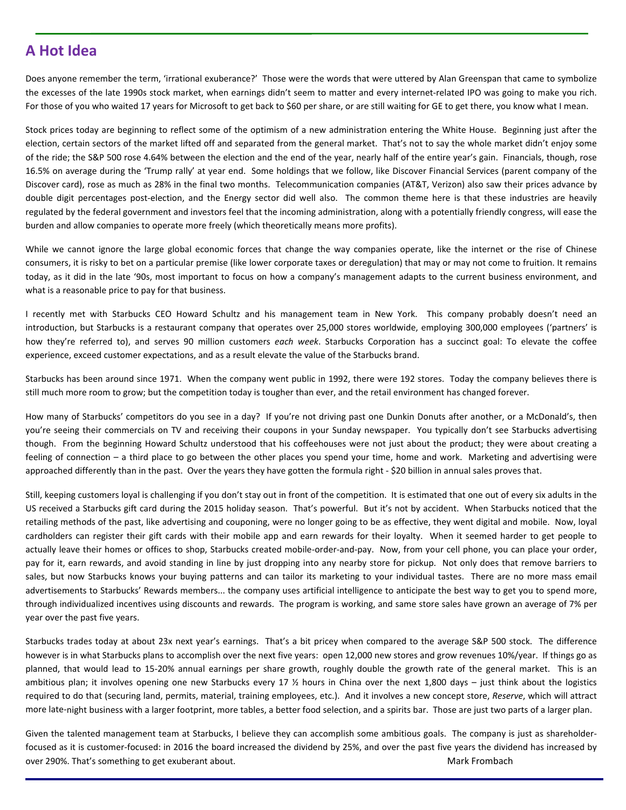## **A Hot Idea**

Does anyone remember the term, 'irrational exuberance?' Those were the words that were uttered by Alan Greenspan that came to symbolize the excesses of the late 1990s stock market, when earnings didn't seem to matter and every internet‐related IPO was going to make you rich. For those of you who waited 17 years for Microsoft to get back to \$60 per share, or are still waiting for GE to get there, you know what I mean.

Stock prices today are beginning to reflect some of the optimism of a new administration entering the White House. Beginning just after the election, certain sectors of the market lifted off and separated from the general market. That's not to say the whole market didn't enjoy some of the ride; the S&P 500 rose 4.64% between the election and the end of the year, nearly half of the entire year's gain. Financials, though, rose 16.5% on average during the 'Trump rally' at year end. Some holdings that we follow, like Discover Financial Services (parent company of the Discover card), rose as much as 28% in the final two months. Telecommunication companies (AT&T, Verizon) also saw their prices advance by double digit percentages post-election, and the Energy sector did well also. The common theme here is that these industries are heavily regulated by the federal government and investors feel that the incoming administration, along with a potentially friendly congress, will ease the burden and allow companies to operate more freely (which theoretically means more profits).

While we cannot ignore the large global economic forces that change the way companies operate, like the internet or the rise of Chinese consumers, it is risky to bet on a particular premise (like lower corporate taxes or deregulation) that may or may not come to fruition. It remains today, as it did in the late '90s, most important to focus on how a company's management adapts to the current business environment, and what is a reasonable price to pay for that business.

I recently met with Starbucks CEO Howard Schultz and his management team in New York. This company probably doesn't need an introduction, but Starbucks is a restaurant company that operates over 25,000 stores worldwide, employing 300,000 employees ('partners' is how they're referred to), and serves 90 million customers *each week*. Starbucks Corporation has a succinct goal: To elevate the coffee experience, exceed customer expectations, and as a result elevate the value of the Starbucks brand.

Starbucks has been around since 1971. When the company went public in 1992, there were 192 stores. Today the company believes there is still much more room to grow; but the competition today is tougher than ever, and the retail environment has changed forever.

How many of Starbucks' competitors do you see in a day? If you're not driving past one Dunkin Donuts after another, or a McDonald's, then you're seeing their commercials on TV and receiving their coupons in your Sunday newspaper. You typically don't see Starbucks advertising though. From the beginning Howard Schultz understood that his coffeehouses were not just about the product; they were about creating a feeling of connection – a third place to go between the other places you spend your time, home and work. Marketing and advertising were approached differently than in the past. Over the years they have gotten the formula right - \$20 billion in annual sales proves that.

Still, keeping customers loyal is challenging if you don't stay out in front of the competition. It is estimated that one out of every six adults in the US received a Starbucks gift card during the 2015 holiday season. That's powerful. But it's not by accident. When Starbucks noticed that the retailing methods of the past, like advertising and couponing, were no longer going to be as effective, they went digital and mobile. Now, loyal cardholders can register their gift cards with their mobile app and earn rewards for their loyalty. When it seemed harder to get people to actually leave their homes or offices to shop, Starbucks created mobile-order-and-pay. Now, from your cell phone, you can place your order, pay for it, earn rewards, and avoid standing in line by just dropping into any nearby store for pickup. Not only does that remove barriers to sales, but now Starbucks knows your buying patterns and can tailor its marketing to your individual tastes. There are no more mass email advertisements to Starbucks' Rewards members... the company uses artificial intelligence to anticipate the best way to get you to spend more, through individualized incentives using discounts and rewards. The program is working, and same store sales have grown an average of 7% per year over the past five years.

Starbucks trades today at about 23x next year's earnings. That's a bit pricey when compared to the average S&P 500 stock. The difference however is in what Starbucks plans to accomplish over the next five years: open 12,000 new stores and grow revenues 10%/year. If things go as planned, that would lead to 15‐20% annual earnings per share growth, roughly double the growth rate of the general market. This is an ambitious plan; it involves opening one new Starbucks every 17  $\frac{1}{2}$  hours in China over the next 1,800 days – just think about the logistics required to do that (securing land, permits, material, training employees, etc.). And it involves a new concept store, *Reserve*, which will attract more late-night business with a larger footprint, more tables, a better food selection, and a spirits bar. Those are just two parts of a larger plan.

Given the talented management team at Starbucks, I believe they can accomplish some ambitious goals. The company is just as shareholderfocused as it is customer‐focused: in 2016 the board increased the dividend by 25%, and over the past five years the dividend has increased by over 290%. That's something to get exuberant about. The matrix of the matrix of the Mark Frombach